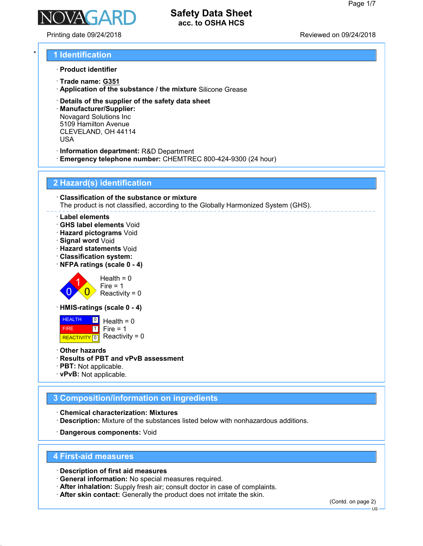

Printing date 09/24/2018 Reviewed on 09/24/2018

## \* **1 Identification**

- · **Product identifier**
- · **Trade name: G351**
- · **Application of the substance / the mixture** Silicone Grease
- · **Details of the supplier of the safety data sheet**
- · **Manufacturer/Supplier:** Novagard Solutions Inc 5109 Hamilton Avenue CLEVELAND, OH 44114 USA
- · **Information department:** R&D Department
- · **Emergency telephone number:** CHEMTREC 800-424-9300 (24 hour)

## **2 Hazard(s) identification**

· **Classification of the substance or mixture** The product is not classified, according to the Globally Harmonized System (GHS).

- · **Label elements**
- · **GHS label elements** Void
- · **Hazard pictograms** Void
- · **Signal word** Void
- · **Hazard statements** Void
- · **Classification system:**
- · **NFPA ratings (scale 0 4)**



· **HMIS-ratings (scale 0 - 4)**

**HEALTH**  FIRE REACTIVITY 0  $|0|$  $\overline{1}$  $Health = 0$  $Fire = 1$ Reactivity =  $0$ 

- · **Other hazards**
- · **Results of PBT and vPvB assessment**
- · **PBT:** Not applicable.
- · **vPvB:** Not applicable.

## **3 Composition/information on ingredients**

· **Chemical characterization: Mixtures** · **Description:** Mixture of the substances listed below with nonhazardous additions.

· **Dangerous components:** Void

#### **4 First-aid measures**

· **Description of first aid measures**

- · **General information:** No special measures required.
- · **After inhalation:** Supply fresh air; consult doctor in case of complaints.
- · **After skin contact:** Generally the product does not irritate the skin.

(Contd. on page 2)

US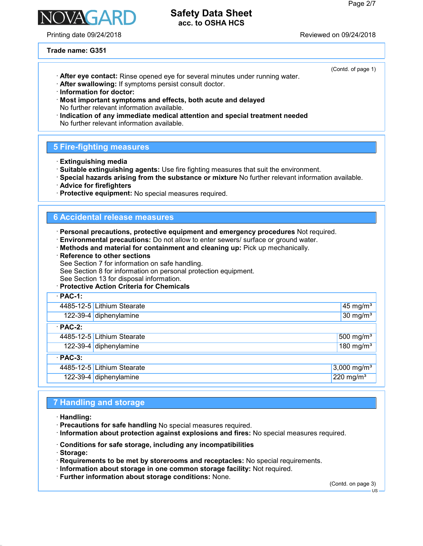

Printing date 09/24/2018 Reviewed on 09/24/2018

## **Safety Data Sheet acc. to OSHA HCS**

**Trade name: G351**

- · **After eye contact:** Rinse opened eye for several minutes under running water.
- · **After swallowing:** If symptoms persist consult doctor.
- · **Information for doctor:**
- · **Most important symptoms and effects, both acute and delayed** No further relevant information available.
- · **Indication of any immediate medical attention and special treatment needed** No further relevant information available.

## **5 Fire-fighting measures**

- · **Extinguishing media**
- · **Suitable extinguishing agents:** Use fire fighting measures that suit the environment.
- · **Special hazards arising from the substance or mixture** No further relevant information available.
- · **Advice for firefighters**
- · **Protective equipment:** No special measures required.

## **6 Accidental release measures**

· **Personal precautions, protective equipment and emergency procedures** Not required.

- · **Environmental precautions:** Do not allow to enter sewers/ surface or ground water.
- · **Methods and material for containment and cleaning up:** Pick up mechanically.
- · **Reference to other sections**

See Section 7 for information on safe handling.

See Section 8 for information on personal protection equipment.

See Section 13 for disposal information.

· **Protective Action Criteria for Chemicals**

| $\cdot$ PAC-1: |                            |                         |  |  |
|----------------|----------------------------|-------------------------|--|--|
|                | 4485-12-5 Lithium Stearate | $45 \text{ mg/m}^3$     |  |  |
|                | 122-39-4 diphenylamine     | $30 \text{ mg/m}^3$     |  |  |
| $\cdot$ PAC-2: |                            |                         |  |  |
|                | 4485-12-5 Lithium Stearate | 500 mg/ $m3$            |  |  |
|                | 122-39-4 diphenylamine     | $180$ mg/m <sup>3</sup> |  |  |
| $\cdot$ PAC-3: |                            |                         |  |  |
|                | 4485-12-5 Lithium Stearate | 3,000 mg/m <sup>3</sup> |  |  |
|                | 122-39-4 diphenylamine     | $220$ mg/m <sup>3</sup> |  |  |

## **7 Handling and storage**

- · **Handling:**
- · **Precautions for safe handling** No special measures required.
- · **Information about protection against explosions and fires:** No special measures required.
- · **Conditions for safe storage, including any incompatibilities**
- · **Storage:**
- · **Requirements to be met by storerooms and receptacles:** No special requirements.
- · **Information about storage in one common storage facility:** Not required.
- · **Further information about storage conditions:** None.

(Contd. on page 3)

(Contd. of page 1)

US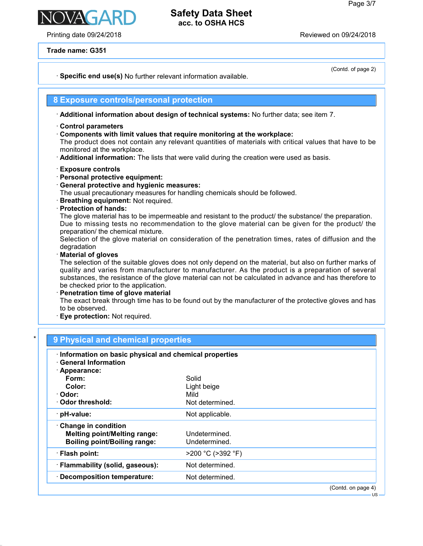(Contd. of page 2)

US

## **Safety Data Sheet acc. to OSHA HCS**

Printing date 09/24/2018 Reviewed on 09/24/2018

**Trade name: G351**

· **Specific end use(s)** No further relevant information available.

## **8 Exposure controls/personal protection**

· **Additional information about design of technical systems:** No further data; see item 7.

- · **Control parameters**
- · **Components with limit values that require monitoring at the workplace:**

The product does not contain any relevant quantities of materials with critical values that have to be monitored at the workplace.

- · **Additional information:** The lists that were valid during the creation were used as basis.
- · **Exposure controls**
- · **Personal protective equipment:**
- · **General protective and hygienic measures:**

The usual precautionary measures for handling chemicals should be followed.

- · **Breathing equipment:** Not required.
- · **Protection of hands:**

The glove material has to be impermeable and resistant to the product/ the substance/ the preparation. Due to missing tests no recommendation to the glove material can be given for the product/ the preparation/ the chemical mixture.

Selection of the glove material on consideration of the penetration times, rates of diffusion and the degradation

· **Material of gloves**

The selection of the suitable gloves does not only depend on the material, but also on further marks of quality and varies from manufacturer to manufacturer. As the product is a preparation of several substances, the resistance of the glove material can not be calculated in advance and has therefore to be checked prior to the application.

· **Penetration time of glove material**

The exact break through time has to be found out by the manufacturer of the protective gloves and has to be observed.

· **Eye protection:** Not required.

| · Information on basic physical and chemical properties<br><b>General Information</b> |                   |  |
|---------------------------------------------------------------------------------------|-------------------|--|
| $\cdot$ Appearance:                                                                   |                   |  |
| Form:                                                                                 | Solid             |  |
| Color:                                                                                | Light beige       |  |
| · Odor:                                                                               | Mild              |  |
| ⋅ Odor threshold:                                                                     | Not determined.   |  |
| · pH-value:                                                                           | Not applicable.   |  |
| Change in condition                                                                   |                   |  |
| <b>Melting point/Melting range:</b>                                                   | Undetermined.     |  |
| <b>Boiling point/Boiling range:</b>                                                   | Undetermined.     |  |
| · Flash point:                                                                        | >200 °C (>392 °F) |  |
| · Flammability (solid, gaseous):                                                      | Not determined.   |  |
| · Decomposition temperature:                                                          | Not determined.   |  |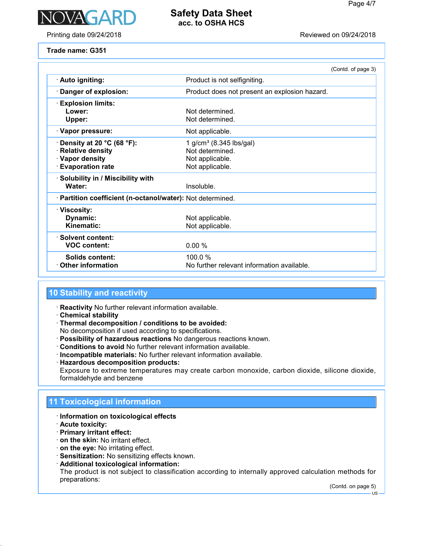

Printing date 09/24/2018 Reviewed on 09/24/2018

**Trade name: G351**

|                                                                                                    |                                                                                              | (Contd. of page 3) |  |  |
|----------------------------------------------------------------------------------------------------|----------------------------------------------------------------------------------------------|--------------------|--|--|
| · Auto igniting:                                                                                   | Product is not selfigniting.                                                                 |                    |  |  |
| Danger of explosion:                                                                               | Product does not present an explosion hazard.                                                |                    |  |  |
| <b>Explosion limits:</b><br>Lower:<br>Upper:                                                       | Not determined<br>Not determined.                                                            |                    |  |  |
| · Vapor pressure:                                                                                  | Not applicable.                                                                              |                    |  |  |
| Density at 20 °C (68 °F):<br><b>Relative density</b><br>· Vapor density<br><b>Evaporation rate</b> | 1 g/cm <sup>3</sup> (8.345 lbs/gal)<br>Not determined.<br>Not applicable.<br>Not applicable. |                    |  |  |
| · Solubility in / Miscibility with<br>Water:                                                       | Insoluble.                                                                                   |                    |  |  |
| · Partition coefficient (n-octanol/water): Not determined.                                         |                                                                                              |                    |  |  |
| · Viscosity:<br>Dynamic:<br>Kinematic:                                                             | Not applicable.<br>Not applicable.                                                           |                    |  |  |
| · Solvent content:<br><b>VOC content:</b>                                                          | 0.00%                                                                                        |                    |  |  |
| Solids content:<br><b>Other information</b>                                                        | 100.0%<br>No further relevant information available.                                         |                    |  |  |

# **10 Stability and reactivity**

- · **Reactivity** No further relevant information available.
- · **Chemical stability**
- · **Thermal decomposition / conditions to be avoided:**

No decomposition if used according to specifications.

- · **Possibility of hazardous reactions** No dangerous reactions known.
- · **Conditions to avoid** No further relevant information available.
- · **Incompatible materials:** No further relevant information available.
- · **Hazardous decomposition products:**

Exposure to extreme temperatures may create carbon monoxide, carbon dioxide, silicone dioxide, formaldehyde and benzene

# **11 Toxicological information**

- · **Information on toxicological effects**
- · **Acute toxicity:**
- · **Primary irritant effect:**
- · **on the skin:** No irritant effect.
- · **on the eye:** No irritating effect.
- · **Sensitization:** No sensitizing effects known.
- · **Additional toxicological information:**

The product is not subject to classification according to internally approved calculation methods for preparations:

(Contd. on page 5)

US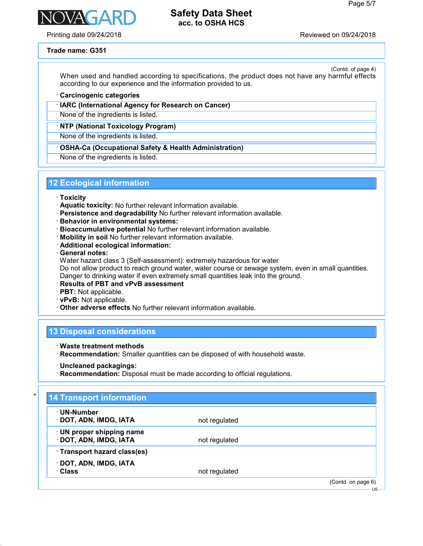Printing date 09/24/2018 Reviewed on 09/24/2018

**NAGAR** 

#### **Trade name: G351**

(Contd. of page 4) When used and handled according to specifications, the product does not have any harmful effects according to our experience and the information provided to us.

#### · **Carcinogenic categories**

· **IARC (International Agency for Research on Cancer)**

None of the ingredients is listed.

#### · **NTP (National Toxicology Program)**

None of the ingredients is listed.

#### · **OSHA-Ca (Occupational Safety & Health Administration)**

None of the ingredients is listed.

## **12 Ecological information**

- · **Toxicity**
- · **Aquatic toxicity:** No further relevant information available.
- · **Persistence and degradability** No further relevant information available.
- · **Behavior in environmental systems:**
- · **Bioaccumulative potential** No further relevant information available.
- · **Mobility in soil** No further relevant information available.
- · **Additional ecological information:**
- · **General notes:**

Water hazard class 3 (Self-assessment): extremely hazardous for water

Do not allow product to reach ground water, water course or sewage system, even in small quantities. Danger to drinking water if even extremely small quantities leak into the ground.

- · **Results of PBT and vPvB assessment**
- · **PBT:** Not applicable.
- · **vPvB:** Not applicable.
- · **Other adverse effects** No further relevant information available.

### **13 Disposal considerations**

- · **Waste treatment methods**
- · **Recommendation:** Smaller quantities can be disposed of with household waste.
- · **Uncleaned packagings:**
- · **Recommendation:** Disposal must be made according to official regulations.

# **14 Transport information** · **UN-Number · DOT, ADN, IMDG, IATA** not regulated · **UN proper shipping name** · **DOT, ADN, IMDG, IATA** not regulated · **Transport hazard class(es)** · **DOT, ADN, IMDG, IATA** · **Class** not regulated (Contd. on page 6)  $\overline{11S}$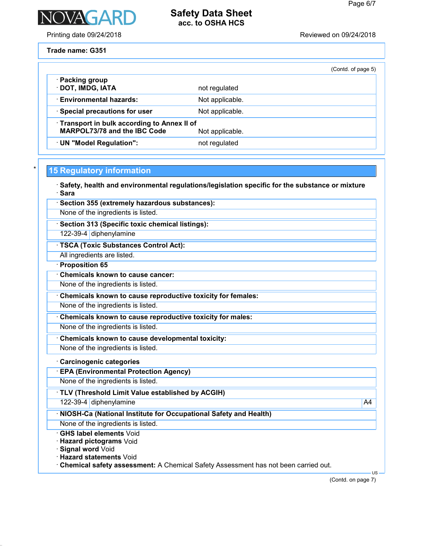

Printing date 09/24/2018 **Printing date 09/24/2018** 

**Trade name: G351**

|                                                                                                      |                 | (Contd. of page 5) |  |
|------------------------------------------------------------------------------------------------------|-----------------|--------------------|--|
| · Packing group<br>· DOT, IMDG, IATA                                                                 | not regulated   |                    |  |
| <b>Environmental hazards:</b>                                                                        | Not applicable. |                    |  |
| · Special precautions for user                                                                       | Not applicable. |                    |  |
| Transport in bulk according to Annex II of<br><b>MARPOL73/78 and the IBC Code</b><br>Not applicable. |                 |                    |  |
| · UN "Model Regulation":                                                                             | not regulated   |                    |  |

# \* **15 Regulatory information**

· **Safety, health and environmental regulations/legislation specific for the substance or mixture** · **Sara**

| Section 355 (extremely hazardous substances):                                      |        |
|------------------------------------------------------------------------------------|--------|
| None of the ingredients is listed.                                                 |        |
| Section 313 (Specific toxic chemical listings):                                    |        |
| 122-39-4 diphenylamine                                                             |        |
| · TSCA (Toxic Substances Control Act):                                             |        |
| All ingredients are listed.                                                        |        |
| · Proposition 65                                                                   |        |
| <b>Chemicals known to cause cancer:</b>                                            |        |
| None of the ingredients is listed.                                                 |        |
| Chemicals known to cause reproductive toxicity for females:                        |        |
| None of the ingredients is listed.                                                 |        |
| Chemicals known to cause reproductive toxicity for males:                          |        |
| None of the ingredients is listed.                                                 |        |
| Chemicals known to cause developmental toxicity:                                   |        |
| None of the ingredients is listed.                                                 |        |
| · Carcinogenic categories                                                          |        |
| <b>EPA (Environmental Protection Agency)</b>                                       |        |
| None of the ingredients is listed.                                                 |        |
| · TLV (Threshold Limit Value established by ACGIH)                                 |        |
| 122-39-4 diphenylamine                                                             | A4     |
| · NIOSH-Ca (National Institute for Occupational Safety and Health)                 |        |
| None of the ingredients is listed.                                                 |        |
| <b>GHS label elements Void</b>                                                     |        |
| Hazard pictograms Void                                                             |        |
| Signal word Void<br><b>Hazard statements Void</b>                                  |        |
| Chemical safety assessment: A Chemical Safety Assessment has not been carried out. |        |
|                                                                                    | $US -$ |

(Contd. on page 7)